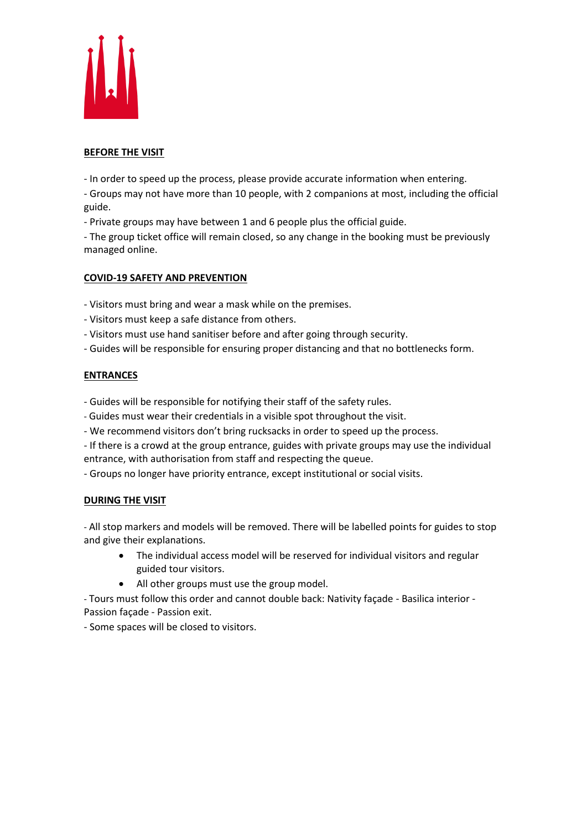

### **BEFORE THE VISIT**

- In order to speed up the process, please provide accurate information when entering.

- Groups may not have more than 10 people, with 2 companions at most, including the official guide.

- Private groups may have between 1 and 6 people plus the official guide.

- The group ticket office will remain closed, so any change in the booking must be previously managed online.

## **COVID-19 SAFETY AND PREVENTION**

- Visitors must bring and wear a mask while on the premises.

- Visitors must keep a safe distance from others.
- Visitors must use hand sanitiser before and after going through security.
- Guides will be responsible for ensuring proper distancing and that no bottlenecks form.

## **ENTRANCES**

- Guides will be responsible for notifying their staff of the safety rules.
- Guides must wear their credentials in a visible spot throughout the visit.
- We recommend visitors don't bring rucksacks in order to speed up the process.

- If there is a crowd at the group entrance, guides with private groups may use the individual entrance, with authorisation from staff and respecting the queue.

- Groups no longer have priority entrance, except institutional or social visits.

#### **DURING THE VISIT**

- All stop markers and models will be removed. There will be labelled points for guides to stop and give their explanations.

- The individual access model will be reserved for individual visitors and regular guided tour visitors.
- All other groups must use the group model.

- Tours must follow this order and cannot double back: Nativity façade - Basilica interior - Passion façade - Passion exit.

- Some spaces will be closed to visitors.